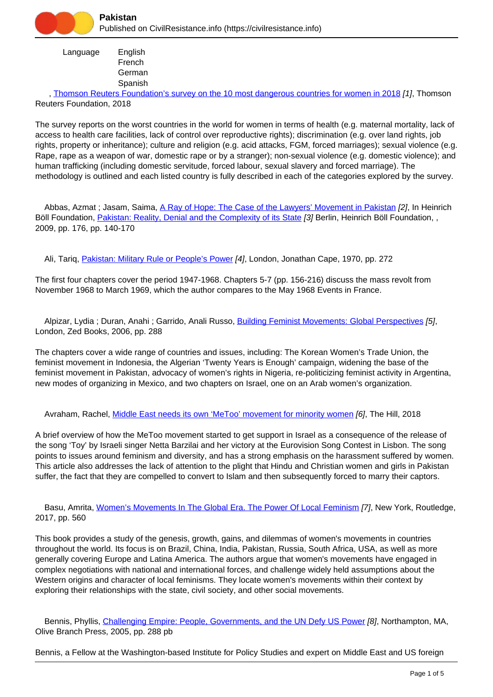

 Language English French **German** Spanish

 , [Thomson Reuters Foundation's survey on the 10 most dangerous countries for women in 2018](https://civilresistance.info/biblio-item/2018/thomson-reuters-foundations-survey-10-most-dangerous-countries-women-2018) [1], Thomson Reuters Foundation, 2018

The survey reports on the worst countries in the world for women in terms of health (e.g. maternal mortality, lack of access to health care facilities, lack of control over reproductive rights); discrimination (e.g. over land rights, job rights, property or inheritance); culture and religion (e.g. acid attacks, FGM, forced marriages); sexual violence (e.g. Rape, rape as a weapon of war, domestic rape or by a stranger); non-sexual violence (e.g. domestic violence); and human trafficking (including domestic servitude, forced labour, sexual slavery and forced marriage). The methodology is outlined and each listed country is fully described in each of the categories explored by the survey.

Abbas, Azmat ; Jasam, Saima, [A Ray of Hope: The Case of the Lawyers' Movement in Pakistan](https://civilresistance.info/biblio-item/2009/ray-hope-case-lawyers-movement-pakistan) [2], In Heinrich Böll Foundation, *[Pakistan: Reality, Denial and the Complexity of its State](https://civilresistance.info/biblio-item/2009/pakistan-reality-denial-and-complexity-its-state) [3] Berlin, Heinrich Böll Foundation, ,* 2009, pp. 176, pp. 140-170

Ali, Tariq, [Pakistan: Military Rule or People's Power](https://civilresistance.info/biblio-item/1970/pakistan-military-rule-or-peoples-power) [4], London, Jonathan Cape, 1970, pp. 272

The first four chapters cover the period 1947-1968. Chapters 5-7 (pp. 156-216) discuss the mass revolt from November 1968 to March 1969, which the author compares to the May 1968 Events in France.

Alpizar, Lydia; Duran, Anahi; Garrido, Anali Russo, [Building Feminist Movements: Global Perspectives](https://civilresistance.info/biblio-item/2006/building-feminist-movements-global-perspectives) [5], London, Zed Books, 2006, pp. 288

The chapters cover a wide range of countries and issues, including: The Korean Women's Trade Union, the feminist movement in Indonesia, the Algerian 'Twenty Years is Enough' campaign, widening the base of the feminist movement in Pakistan, advocacy of women's rights in Nigeria, re-politicizing feminist activity in Argentina, new modes of organizing in Mexico, and two chapters on Israel, one on an Arab women's organization.

Avraham, Rachel, [Middle East needs its own 'MeToo' movement for minority women](https://civilresistance.info/biblio-item/2018/middle-east-needs-its-own-metoo-movement-minority-women) [6], The Hill, 2018

A brief overview of how the MeToo movement started to get support in Israel as a consequence of the release of the song 'Toy' by Israeli singer Netta Barzilai and her victory at the Eurovision Song Contest in Lisbon. The song points to issues around feminism and diversity, and has a strong emphasis on the harassment suffered by women. This article also addresses the lack of attention to the plight that Hindu and Christian women and girls in Pakistan suffer, the fact that they are compelled to convert to Islam and then subsequently forced to marry their captors.

 Basu, Amrita, [Women's Movements In The Global Era. The Power Of Local Feminism](https://civilresistance.info/biblio-item/2017/womens-movements-global-era-power-local-feminism) [7], New York, Routledge, 2017, pp. 560

This book provides a study of the genesis, growth, gains, and dilemmas of women's movements in countries throughout the world. Its focus is on Brazil, China, India, Pakistan, Russia, South Africa, USA, as well as more generally covering Europe and Latina America. The authors argue that women's movements have engaged in complex negotiations with national and international forces, and challenge widely held assumptions about the Western origins and character of local feminisms. They locate women's movements within their context by exploring their relationships with the state, civil society, and other social movements.

Bennis, Phyllis, [Challenging Empire: People, Governments, and the UN Defy US Power](https://civilresistance.info/biblio-item/2005/challenging-empire-people-governments-and-un-defy-us-power) [8], Northampton, MA, Olive Branch Press, 2005, pp. 288 pb

Bennis, a Fellow at the Washington-based Institute for Policy Studies and expert on Middle East and US foreign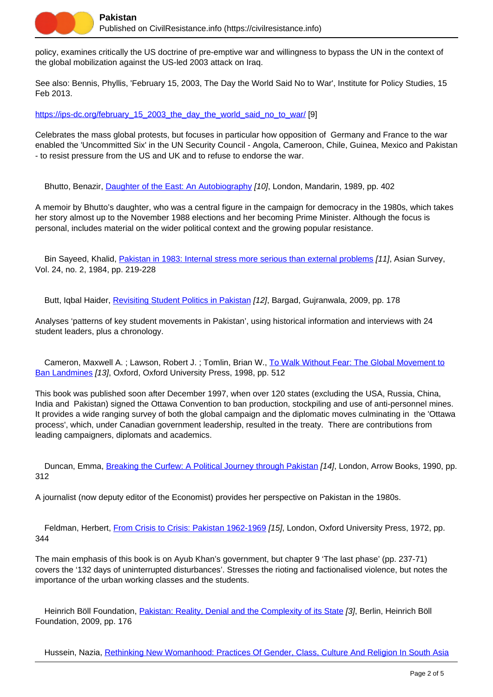policy, examines critically the US doctrine of pre-emptive war and willingness to bypass the UN in the context of the global mobilization against the US-led 2003 attack on Iraq.

See also: Bennis, Phyllis, 'February 15, 2003, The Day the World Said No to War', Institute for Policy Studies, 15 Feb 2013.

[https://ips-dc.org/february\\_15\\_2003\\_the\\_day\\_the\\_world\\_said\\_no\\_to\\_war/](https://ips-dc.org/february_15_2003_the_day_the_world_said_no_to_war/) [9]

Celebrates the mass global protests, but focuses in particular how opposition of Germany and France to the war enabled the 'Uncommitted Six' in the UN Security Council - Angola, Cameroon, Chile, Guinea, Mexico and Pakistan - to resist pressure from the US and UK and to refuse to endorse the war.

Bhutto, Benazir, [Daughter of the East: An Autobiography](https://civilresistance.info/biblio-item/1989/daughter-east-autobiography) [10], London, Mandarin, 1989, pp. 402

A memoir by Bhutto's daughter, who was a central figure in the campaign for democracy in the 1980s, which takes her story almost up to the November 1988 elections and her becoming Prime Minister. Although the focus is personal, includes material on the wider political context and the growing popular resistance.

Bin Sayeed, Khalid, [Pakistan in 1983: Internal stress more serious than external problems](https://civilresistance.info/biblio-item/1984/pakistan-1983-internal-stress-more-serious-external-problems) [11], Asian Survey, Vol. 24, no. 2, 1984, pp. 219-228

Butt, Iqbal Haider, [Revisiting Student Politics in Pakistan](https://civilresistance.info/biblio-item/2009/revisiting-student-politics-pakistan) [12], Bargad, Gujranwala, 2009, pp. 178

Analyses 'patterns of key student movements in Pakistan', using historical information and interviews with 24 student leaders, plus a chronology.

Cameron, Maxwell A.; Lawson, Robert J.; Tomlin, Brian W., [To Walk Without Fear: The Global Movement to](https://civilresistance.info/biblio-item/1998/walk-without-fear-global-movement-ban-landmines) [Ban Landmines](https://civilresistance.info/biblio-item/1998/walk-without-fear-global-movement-ban-landmines) [13], Oxford, Oxford University Press, 1998, pp. 512

This book was published soon after December 1997, when over 120 states (excluding the USA, Russia, China, India and Pakistan) signed the Ottawa Convention to ban production, stockpiling and use of anti-personnel mines. It provides a wide ranging survey of both the global campaign and the diplomatic moves culminating in the 'Ottawa process', which, under Canadian government leadership, resulted in the treaty. There are contributions from leading campaigners, diplomats and academics.

Duncan, Emma, [Breaking the Curfew: A Political Journey through Pakistan](https://civilresistance.info/biblio-item/1990/breaking-curfew-political-journey-through-pakistan) [14], London, Arrow Books, 1990, pp. 312

A journalist (now deputy editor of the Economist) provides her perspective on Pakistan in the 1980s.

Feldman, Herbert, [From Crisis to Crisis: Pakistan 1962-1969](https://civilresistance.info/biblio-item/1972/crisis-crisis-pakistan-1962-1969) [15], London, Oxford University Press, 1972, pp. 344

The main emphasis of this book is on Ayub Khan's government, but chapter 9 'The last phase' (pp. 237-71) covers the '132 days of uninterrupted disturbances'. Stresses the rioting and factionalised violence, but notes the importance of the urban working classes and the students.

 Heinrich Böll Foundation, [Pakistan: Reality, Denial and the Complexity of its State](https://civilresistance.info/biblio-item/2009/pakistan-reality-denial-and-complexity-its-state) [3], Berlin, Heinrich Böll Foundation, 2009, pp. 176

Hussein, Nazia, [Rethinking New Womanhood: Practices Of Gender, Class, Culture And Religion In South Asia](https://civilresistance.info/biblio-item/2018/rethinking-new-womanhood-practices-gender-class-culture-and-religion-south-asia)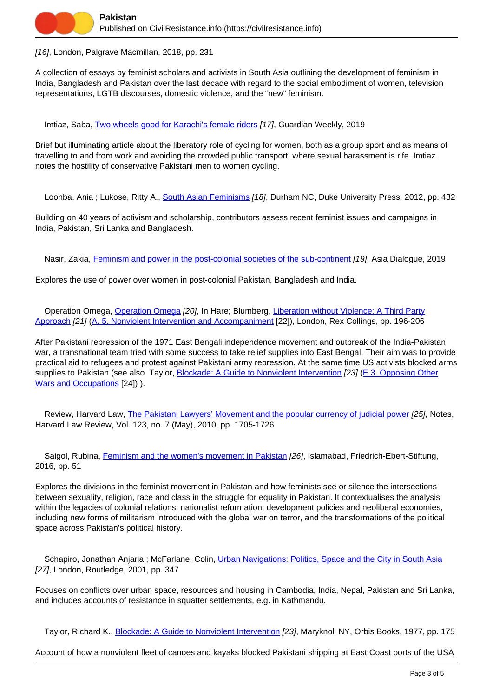

[16], London, Palgrave Macmillan, 2018, pp. 231

A collection of essays by feminist scholars and activists in South Asia outlining the development of feminism in India, Bangladesh and Pakistan over the last decade with regard to the social embodiment of women, television representations, LGTB discourses, domestic violence, and the "new" feminism.

Imtiaz, Saba, [Two wheels good for Karachi's female riders](https://civilresistance.info/biblio-item/2019/two-wheels-good-karachis-female-riders) [17], Guardian Weekly, 2019

Brief but illuminating article about the liberatory role of cycling for women, both as a group sport and as means of travelling to and from work and avoiding the crowded public transport, where sexual harassment is rife. Imtiaz notes the hostility of conservative Pakistani men to women cycling.

Loonba, Ania ; Lukose, Ritty A., [South Asian Feminisms](https://civilresistance.info/biblio-item/2012/south-asian-feminisms) [18], Durham NC, Duke University Press, 2012, pp. 432

Building on 40 years of activism and scholarship, contributors assess recent feminist issues and campaigns in India, Pakistan, Sri Lanka and Bangladesh.

Nasir, Zakia, [Feminism and power in the post-colonial societies of the sub-continent](https://civilresistance.info/biblio-item/2019/feminism-and-power-post-colonial-societies-sub-continent) [19], Asia Dialogue, 2019

Explores the use of power over women in post-colonial Pakistan, Bangladesh and India.

[Operation Omega](https://civilresistance.info/biblio-item/1977/operation-omega), Operation Omega [20], In Hare; Blumberg, [Liberation without Violence: A Third Party](https://civilresistance.info/biblio-item/1977/liberation-without-violence-third-party-approach) [Approach](https://civilresistance.info/biblio-item/1977/liberation-without-violence-third-party-approach) [21] ([A. 5. Nonviolent Intervention and Accompaniment](https://civilresistance.info/section/introduction-nonviolent-action/5-nonviolent-intervention-and-accompaniment) [22]), London, Rex Collings, pp. 196-206

After Pakistani repression of the 1971 East Bengali independence movement and outbreak of the India-Pakistan war, a transnational team tried with some success to take relief supplies into East Bengal. Their aim was to provide practical aid to refugees and protest against Pakistani army repression. At the same time US activists blocked arms supplies to Pakistan (see also Taylor, [Blockade: A Guide to Nonviolent Intervention](https://civilresistance.info/biblio-item/1977/blockade-guide-nonviolent-intervention) [23] [\(E.3. Opposing Other](https://civilresistance.info/section/e-resistance-movements-against-specific-wars/e3-opposing-other-wars-and-occupations) [Wars and Occupations](https://civilresistance.info/section/e-resistance-movements-against-specific-wars/e3-opposing-other-wars-and-occupations) [24]) ).

 Review, Harvard Law, [The Pakistani Lawyers' Movement and the popular currency of judicial power](https://civilresistance.info/biblio-item/2010/pakistani-lawyers-movement-and-popular-currency-judicial-power) [25], Notes, Harvard Law Review, Vol. 123, no. 7 (May), 2010, pp. 1705-1726

Saigol, Rubina, **Feminism and the women's movement in Pakistan [26]**, Islamabad, Friedrich-Ebert-Stiftung, 2016, pp. 51

Explores the divisions in the feminist movement in Pakistan and how feminists see or silence the intersections between sexuality, religion, race and class in the struggle for equality in Pakistan. It contextualises the analysis within the legacies of colonial relations, nationalist reformation, development policies and neoliberal economies, including new forms of militarism introduced with the global war on terror, and the transformations of the political space across Pakistan's political history.

Schapiro, Jonathan Anjaria ; McFarlane, Colin, [Urban Navigations: Politics, Space and the City in South Asia](https://civilresistance.info/biblio-item/2001/urban-navigations-politics-space-and-city-south-asia) [27], London, Routledge, 2001, pp. 347

Focuses on conflicts over urban space, resources and housing in Cambodia, India, Nepal, Pakistan and Sri Lanka, and includes accounts of resistance in squatter settlements, e.g. in Kathmandu.

Taylor, Richard K., [Blockade: A Guide to Nonviolent Intervention](https://civilresistance.info/biblio-item/1977/blockade-guide-nonviolent-intervention) [23], Maryknoll NY, Orbis Books, 1977, pp. 175

Account of how a nonviolent fleet of canoes and kayaks blocked Pakistani shipping at East Coast ports of the USA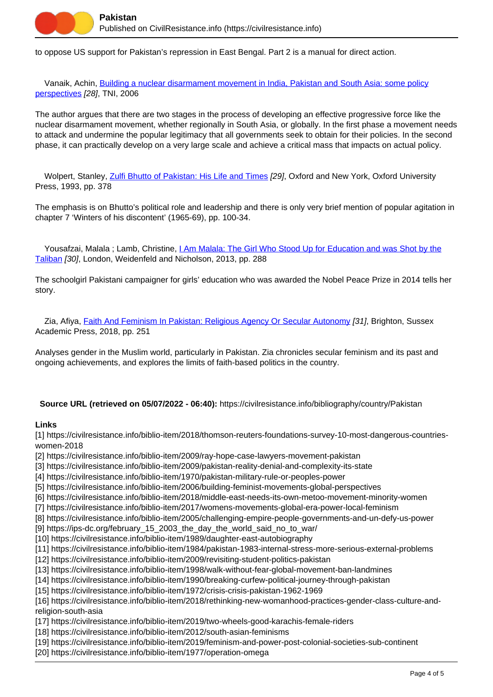

to oppose US support for Pakistan's repression in East Bengal. Part 2 is a manual for direct action.

 Vanaik, Achin, [Building a nuclear disarmament movement in India, Pakistan and South Asia: some policy](https://civilresistance.info/biblio-item/2006/building-nuclear-disarmament-movement-india-pakistan-and-south-asia-some-policy) [perspectives](https://civilresistance.info/biblio-item/2006/building-nuclear-disarmament-movement-india-pakistan-and-south-asia-some-policy) [28], TNI, 2006

The author argues that there are two stages in the process of developing an effective progressive force like the nuclear disarmament movement, whether regionally in South Asia, or globally. In the first phase a movement needs to attack and undermine the popular legitimacy that all governments seek to obtain for their policies. In the second phase, it can practically develop on a very large scale and achieve a critical mass that impacts on actual policy.

Wolpert, Stanley, [Zulfi Bhutto of Pakistan: His Life and Times](https://civilresistance.info/biblio-item/1993/zulfi-bhutto-pakistan-his-life-and-times) [29], Oxford and New York, Oxford University Press, 1993, pp. 378

The emphasis is on Bhutto's political role and leadership and there is only very brief mention of popular agitation in chapter 7 'Winters of his discontent' (1965-69), pp. 100-34.

 Yousafzai, Malala ; Lamb, Christine, [I Am Malala: The Girl Who Stood Up for Education and was Shot by the](https://civilresistance.info/biblio-item/2013/i-am-malala-girl-who-stood-education-and-was-shot-taliban) [Taliban](https://civilresistance.info/biblio-item/2013/i-am-malala-girl-who-stood-education-and-was-shot-taliban) [30], London, Weidenfeld and Nicholson, 2013, pp. 288

The schoolgirl Pakistani campaigner for girls' education who was awarded the Nobel Peace Prize in 2014 tells her story.

Zia, Afiya, [Faith And Feminism In Pakistan: Religious Agency Or Secular Autonomy](https://civilresistance.info/biblio-item/2018/faith-and-feminism-pakistan-religious-agency-or-secular-autonomy) [31], Brighton, Sussex Academic Press, 2018, pp. 251

Analyses gender in the Muslim world, particularly in Pakistan. Zia chronicles secular feminism and its past and ongoing achievements, and explores the limits of faith-based politics in the country.

**Source URL (retrieved on 05/07/2022 - 06:40):** https://civilresistance.info/bibliography/country/Pakistan

## **Links**

[1] https://civilresistance.info/biblio-item/2018/thomson-reuters-foundations-survey-10-most-dangerous-countrieswomen-2018

- [2] https://civilresistance.info/biblio-item/2009/ray-hope-case-lawyers-movement-pakistan
- [3] https://civilresistance.info/biblio-item/2009/pakistan-reality-denial-and-complexity-its-state
- [4] https://civilresistance.info/biblio-item/1970/pakistan-military-rule-or-peoples-power
- [5] https://civilresistance.info/biblio-item/2006/building-feminist-movements-global-perspectives
- [6] https://civilresistance.info/biblio-item/2018/middle-east-needs-its-own-metoo-movement-minority-women
- [7] https://civilresistance.info/biblio-item/2017/womens-movements-global-era-power-local-feminism
- [8] https://civilresistance.info/biblio-item/2005/challenging-empire-people-governments-and-un-defy-us-power
- [9] https://ips-dc.org/february\_15\_2003\_the\_day\_the\_world\_said\_no\_to\_war/
- [10] https://civilresistance.info/biblio-item/1989/daughter-east-autobiography
- [11] https://civilresistance.info/biblio-item/1984/pakistan-1983-internal-stress-more-serious-external-problems
- [12] https://civilresistance.info/biblio-item/2009/revisiting-student-politics-pakistan
- [13] https://civilresistance.info/biblio-item/1998/walk-without-fear-global-movement-ban-landmines
- [14] https://civilresistance.info/biblio-item/1990/breaking-curfew-political-journey-through-pakistan
- [15] https://civilresistance.info/biblio-item/1972/crisis-crisis-pakistan-1962-1969

[16] https://civilresistance.info/biblio-item/2018/rethinking-new-womanhood-practices-gender-class-culture-andreligion-south-asia

- [17] https://civilresistance.info/biblio-item/2019/two-wheels-good-karachis-female-riders
- [18] https://civilresistance.info/biblio-item/2012/south-asian-feminisms
- [19] https://civilresistance.info/biblio-item/2019/feminism-and-power-post-colonial-societies-sub-continent
- [20] https://civilresistance.info/biblio-item/1977/operation-omega